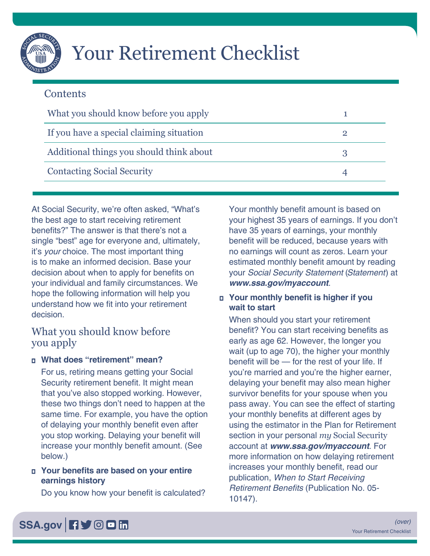

# Your Retirement Checklist

# **Contents**

| What you should know before you apply    |  |
|------------------------------------------|--|
| If you have a special claiming situation |  |
| Additional things you should think about |  |
| <b>Contacting Social Security</b>        |  |

At Social Security, we're often asked, "What's the best age to start receiving retirement benefits?" The answer is that there's not a single "best" age for everyone and, ultimately, it's *your* choice. The most important thing is to make an informed decision. Base your decision about when to apply for benefits on your individual and family circumstances. We hope the following information will help you understand how we fit into your retirement decision.

# What you should know before you apply

## **□ What does "retirement" mean?**

For us, retiring means getting your Social Security retirement benefit. It might mean that you've also stopped working. However, these two things don't need to happen at the same time. For example, you have the option of delaying your monthly benefit even after you stop working. Delaying your benefit will increase your monthly benefit amount. (See below.)

## ■ Your benefits are based on your entire **earnings history**

Do you know how your benefit is calculated?

Your monthly benefit amount is based on your highest 35 years of earnings. If you don't have 35 years of earnings, your monthly benefit will be reduced, because years with no earnings will count as zeros. Learn your estimated monthly benefit amount by reading your *Social Security Statement* (*Statement*) at *[www.ssa.gov/myaccount](https://www.ssa.gov/myaccount)*.

## **<u><b>□** Your monthly benefit is higher if you</u> **wait to start**

When should you start your retirement benefit? You can start receiving benefits as early as age 62. However, the longer you wait (up to age 70), the higher your monthly benefit will be — for the rest of your life. If you're married and you're the higher earner, delaying your benefit may also mean higher survivor benefits for your spouse when you pass away. You can see the effect of starting your monthly benefits at different ages by using the estimator in the Plan for Retirement section in your personal *my* Social Security account at *[www.ssa.gov/myaccount](https://www.ssa.gov/myaccount)*. For more information on how delaying retirement increases your monthly benefit, read our publication, *[When to Start Receiving](https://www.ssa.gov/pubs/EN-05-10147.pdf)*  Retirement Benefits [\(Publication No. 05-](https://www.ssa.gov/pubs/EN-05-10147.pdf) [10147\)](https://www.ssa.gov/pubs/EN-05-10147.pdf).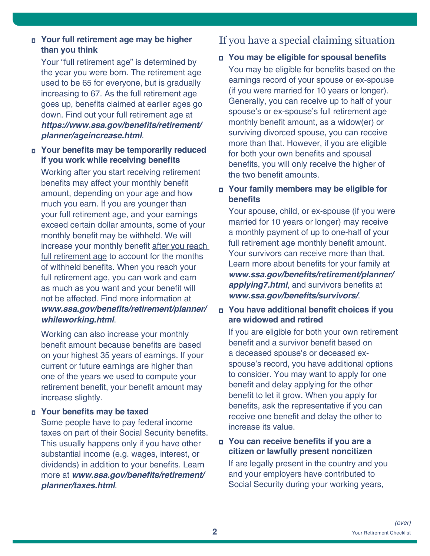## <span id="page-1-0"></span>**□ Your full retirement age may be higher than you think**

Your "full retirement age" is determined by the year you were born. The retirement age used to be 65 for everyone, but is gradually increasing to 67. As the full retirement age goes up, benefits claimed at earlier ages go down. Find out your full retirement age at **[https://www.ssa.gov/benefits/retirement/](https://www.ssa.gov/benefits/retirement/planner/ageincrease.html) [planner/ageincrease.html](https://www.ssa.gov/benefits/retirement/planner/ageincrease.html)**.

#### **<u><b>□** Your benefits may be temporarily reduced</u> **if you work while receiving benefits**

Working after you start receiving retirement benefits may affect your monthly benefit amount, depending on your age and how much you earn. If you are younger than your full retirement age, and your earnings exceed certain dollar amounts, some of your monthly benefit may be withheld. We will increase your monthly benefit after you reach full retirement age to account for the months of withheld benefits. When you reach your full retirement age, you can work and earn as much as you want and your benefit will not be affected. Find more information at **[www.ssa.gov/benefits/retirement/planner/](https://www.ssa.gov/benefits/retirement/planner/whileworking.html) [whileworking.html](https://www.ssa.gov/benefits/retirement/planner/whileworking.html)**.

Working can also increase your monthly benefit amount because benefits are based on your highest 35 years of earnings. If your current or future earnings are higher than one of the years we used to compute your retirement benefit, your benefit amount may increase slightly.

#### **□ Your benefits may be taxed**

Some people have to pay federal income taxes on part of their Social Security benefits. This usually happens only if you have other substantial income (e.g. wages, interest, or dividends) in addition to your benefits. Learn more at **[www.ssa.gov/benefits/retirement/](https://www.ssa.gov/benefits/retirement/planner/taxes.html) [planner/taxes.html](https://www.ssa.gov/benefits/retirement/planner/taxes.html)**.

# If you have a special claiming situation

#### **□ You may be eligible for spousal benefits**

You may be eligible for benefits based on the earnings record of your spouse or ex-spouse (if you were married for 10 years or longer). Generally, you can receive up to half of your spouse's or ex-spouse's full retirement age monthly benefit amount, as a widow(er) or surviving divorced spouse, you can receive more than that. However, if you are eligible for both your own benefits and spousal benefits, you will only receive the higher of the two benefit amounts.

#### □ Your family members may be eligible for **benefits**

Your spouse, child, or ex-spouse (if you were married for 10 years or longer) may receive a monthly payment of up to one-half of your full retirement age monthly benefit amount. Your survivors can receive more than that. Learn more about benefits for your family at **[www.ssa.gov/benefits/retirement/planner/](https://www.ssa.gov/benefits/retirement/planner/applying7.html) [applying7.html](https://www.ssa.gov/benefits/retirement/planner/applying7.html)**, and survivors benefits at **[www.ssa.gov/benefits/survivors/](https://www.ssa.gov/benefits/survivors/)**.

#### $\Box$  You have additional benefit choices if you **are widowed and retired**

If you are eligible for both your own retirement benefit and a survivor benefit based on a deceased spouse's or deceased exspouse's record, you have additional options to consider. You may want to apply for one benefit and delay applying for the other benefit to let it grow. When you apply for benefits, ask the representative if you can receive one benefit and delay the other to increase its value.

## **<u><b>□** You can receive benefits if you are a</u> **citizen or lawfully present noncitizen**

If are legally present in the country and you and your employers have contributed to Social Security during your working years,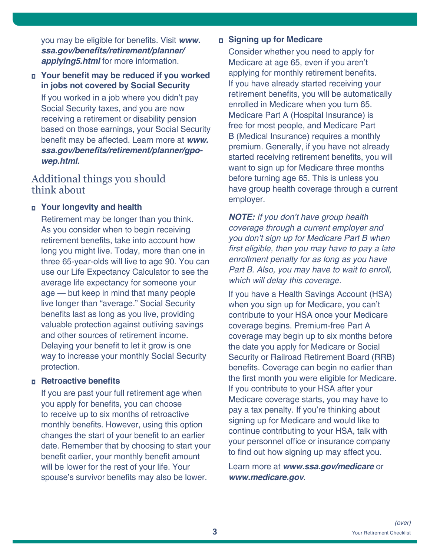<span id="page-2-0"></span>you may be eligible for benefits. Visit *[www.](https://www.ssa.gov/benefits/retirement/planner/applying5.html)* **[ssa.gov/benefits/retirement/planner/](https://www.ssa.gov/benefits/retirement/planner/applying5.html) [applying5.html](https://www.ssa.gov/benefits/retirement/planner/applying5.html)** for more information.

**<u><b>□** Your benefit may be reduced if you worked</u> **in jobs not covered by Social Security** 

If you worked in a job where you didn't pay Social Security taxes, and you are now receiving a retirement or disability pension based on those earnings, your Social Security benefit may be affected. Learn more at *[www.](https://www.ssa.gov/benefits/retirement/planner/gpo-wep.html)* **[ssa.gov/benefits/retirement/planner/gpo](https://www.ssa.gov/benefits/retirement/planner/gpo-wep.html)***[wep.html](https://www.ssa.gov/benefits/retirement/planner/gpo-wep.html).*

# Additional things you should think about

#### ■ **Your longevity and health**

Retirement may be longer than you think. As you consider when to begin receiving retirement benefits, take into account how long you might live. Today, more than one in three 65-year-olds will live to age 90. You can use our [Life Expectancy Calculator](https://www.ssa.gov/OACT/population/longevity.html) to see the average life expectancy for someone your age — but keep in mind that many people live longer than "average." Social Security benefits last as long as you live, providing valuable protection against outliving savings and other sources of retirement income. Delaying your benefit to let it grow is one way to increase your monthly Social Security protection.

#### **□ Retroactive benefits**

If you are past your full retirement age when you apply for benefits, you can choose to receive up to six months of retroactive monthly benefits. However, using this option changes the start of your benefit to an earlier date. Remember that by choosing to start your benefit earlier, your monthly benefit amount will be lower for the rest of your life. Your spouse's survivor benefits may also be lower.

#### **□ Signing up for Medicare**

Consider whether you need to apply for Medicare at age 65, even if you aren't applying for monthly retirement benefits. If you have already started receiving your retirement benefits, you will be automatically enrolled in Medicare when you turn 65. Medicare Part A (Hospital Insurance) is free for most people, and Medicare Part B (Medical Insurance) requires a monthly premium. Generally, if you have not already started receiving retirement benefits, you will want to sign up for Medicare three months before turning age 65. This is unless you have group health coverage through a current employer.

*NOTE: If you don't have group health coverage through a current employer and*  you don't sign up for Medicare Part B when first eligible, then you may have to pay a late enrollment penalty for as long as you have Part B. Also, you may have to wait to enroll, which will delay this coverage.

If you have a Health Savings Account (HSA) when you sign up for Medicare, you can't contribute to your HSA once your Medicare coverage begins. Premium-free Part A coverage may begin up to six months before the date you apply for Medicare or Social Security or Railroad Retirement Board (RRB) benefits. Coverage can begin no earlier than the first month you were eligible for Medicare. If you contribute to your HSA after your Medicare coverage starts, you may have to pay a tax penalty. If you're thinking about signing up for Medicare and would like to continue contributing to your HSA, talk with your personnel office or insurance company to find out how signing up may affect you.

Learn more at **[www.ssa.gov/medicare](https://www.ssa.gov/medicare)** or **[www.medicare.gov](https://www.medicare.gov)**.